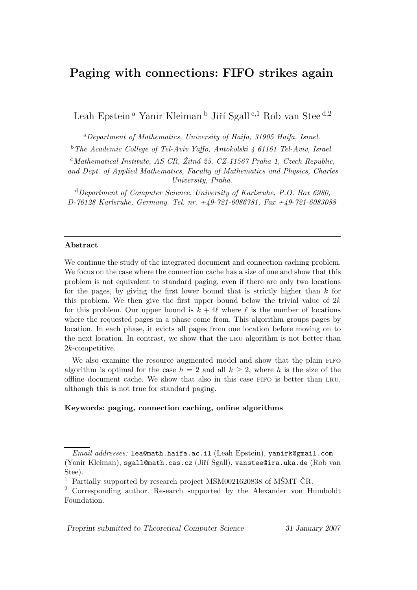# Paging with connections: FIFO strikes again

Leah Epstein<sup>a</sup> Yanir Kleiman<sup>b</sup> Jiří Sgall<sup>c,1</sup> Rob van Stee<sup>d,2</sup>

<sup>a</sup>Department of Mathematics, University of Haifa, 31905 Haifa, Israel.

<sup>b</sup>The Academic College of Tel-Aviv Yaffo, Antokolski 4 61161 Tel-Aviv, Israel.

 $c<sub>Mathematical Institute</sub>, AS CR, Žitná 25, CZ-11567 Praha 1, Czech Republic,$ 

and Dept. of Applied Mathematics, Faculty of Mathematics and Physics, Charles University, Praha.

<sup>d</sup>Department of Computer Science, University of Karlsruhe, P.O. Box 6980, D-76128 Karlsruhe, Germany. Tel. nr. +49-721-6086781, Fax +49-721-6083088

#### Abstract

We continue the study of the integrated document and connection caching problem. We focus on the case where the connection cache has a size of one and show that this problem is not equivalent to standard paging, even if there are only two locations for the pages, by giving the first lower bound that is strictly higher than  $k$  for this problem. We then give the first upper bound below the trivial value of  $2k$ for this problem. Our upper bound is  $k + 4\ell$  where  $\ell$  is the number of locations where the requested pages in a phase come from. This algorithm groups pages by location. In each phase, it evicts all pages from one location before moving on to the next location. In contrast, we show that the lru algorithm is not better than 2k-competitive.

We also examine the resource augmented model and show that the plain FIFO algorithm is optimal for the case  $h = 2$  and all  $k \geq 2$ , where h is the size of the offline document cache. We show that also in this case fifo is better than lru, although this is not true for standard paging.

# Keywords: paging, connection caching, online algorithms

Preprint submitted to Theoretical Computer Science 31 January 2007

Email addresses: lea@math.haifa.ac.il (Leah Epstein), yanirk@gmail.com (Yanir Kleiman), sgall@math.cas.cz (Jiří Sgall), vanstee@ira.uka.de (Rob van Stee).

<sup>&</sup>lt;sup>1</sup> Partially supported by research project MSM0021620838 of MŠMT  $\text{CR}$ .

<sup>2</sup> Corresponding author. Research supported by the Alexander von Humboldt Foundation.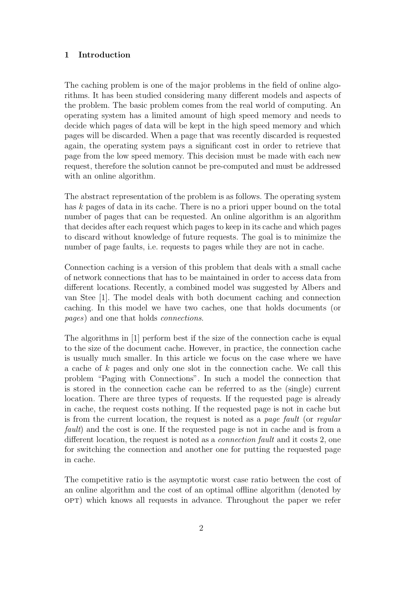# 1 Introduction

The caching problem is one of the major problems in the field of online algorithms. It has been studied considering many different models and aspects of the problem. The basic problem comes from the real world of computing. An operating system has a limited amount of high speed memory and needs to decide which pages of data will be kept in the high speed memory and which pages will be discarded. When a page that was recently discarded is requested again, the operating system pays a significant cost in order to retrieve that page from the low speed memory. This decision must be made with each new request, therefore the solution cannot be pre-computed and must be addressed with an online algorithm.

The abstract representation of the problem is as follows. The operating system has k pages of data in its cache. There is no a priori upper bound on the total number of pages that can be requested. An online algorithm is an algorithm that decides after each request which pages to keep in its cache and which pages to discard without knowledge of future requests. The goal is to minimize the number of page faults, i.e. requests to pages while they are not in cache.

Connection caching is a version of this problem that deals with a small cache of network connections that has to be maintained in order to access data from different locations. Recently, a combined model was suggested by Albers and van Stee [1]. The model deals with both document caching and connection caching. In this model we have two caches, one that holds documents (or pages) and one that holds connections.

The algorithms in [1] perform best if the size of the connection cache is equal to the size of the document cache. However, in practice, the connection cache is usually much smaller. In this article we focus on the case where we have a cache of k pages and only one slot in the connection cache. We call this problem "Paging with Connections". In such a model the connection that is stored in the connection cache can be referred to as the (single) current location. There are three types of requests. If the requested page is already in cache, the request costs nothing. If the requested page is not in cache but is from the current location, the request is noted as a page fault (or regular fault) and the cost is one. If the requested page is not in cache and is from a different location, the request is noted as a *connection fault* and it costs 2, one for switching the connection and another one for putting the requested page in cache.

The competitive ratio is the asymptotic worst case ratio between the cost of an online algorithm and the cost of an optimal offline algorithm (denoted by opt) which knows all requests in advance. Throughout the paper we refer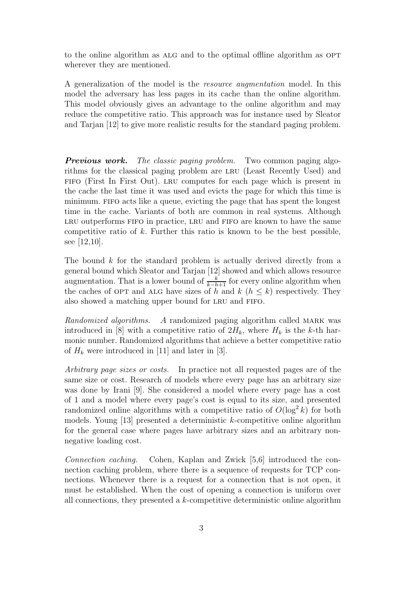to the online algorithm as ALG and to the optimal offline algorithm as OPT wherever they are mentioned.

A generalization of the model is the resource augmentation model. In this model the adversary has less pages in its cache than the online algorithm. This model obviously gives an advantage to the online algorithm and may reduce the competitive ratio. This approach was for instance used by Sleator and Tarjan [12] to give more realistic results for the standard paging problem.

**Previous work.** The classic paging problem. Two common paging algorithms for the classical paging problem are lru (Least Recently Used) and fifo (First In First Out). lru computes for each page which is present in the cache the last time it was used and evicts the page for which this time is minimum. fifo acts like a queue, evicting the page that has spent the longest time in the cache. Variants of both are common in real systems. Although LRU outperforms FIFO in practice, LRU and FIFO are known to have the same competitive ratio of  $k$ . Further this ratio is known to be the best possible, see [12,10].

The bound k for the standard problem is actually derived directly from a general bound which Sleator and Tarjan [12] showed and which allows resource augmentation. That is a lower bound of  $\frac{k}{k-h+1}$  for every online algorithm when the caches of OPT and ALG have sizes of h and  $k$  ( $h \leq k$ ) respectively. They also showed a matching upper bound for LRU and FIFO.

Randomized algorithms. A randomized paging algorithm called MARK was introduced in [8] with a competitive ratio of  $2H_k$ , where  $H_k$  is the k-th harmonic number. Randomized algorithms that achieve a better competitive ratio of  $H_k$  were introduced in [11] and later in [3].

Arbitrary page sizes or costs. In practice not all requested pages are of the same size or cost. Research of models where every page has an arbitrary size was done by Irani [9]. She considered a model where every page has a cost of 1 and a model where every page's cost is equal to its size, and presented randomized online algorithms with a competitive ratio of  $O(\log^2 k)$  for both models. Young  $[13]$  presented a deterministic k-competitive online algorithm for the general case where pages have arbitrary sizes and an arbitrary nonnegative loading cost.

Connection caching. Cohen, Kaplan and Zwick [5,6] introduced the connection caching problem, where there is a sequence of requests for TCP connections. Whenever there is a request for a connection that is not open, it must be established. When the cost of opening a connection is uniform over all connections, they presented a k-competitive deterministic online algorithm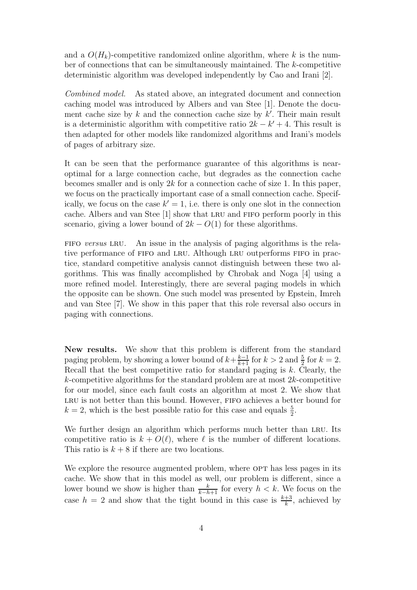and a  $O(H_k)$ -competitive randomized online algorithm, where k is the number of connections that can be simultaneously maintained. The k-competitive deterministic algorithm was developed independently by Cao and Irani [2].

Combined model. As stated above, an integrated document and connection caching model was introduced by Albers and van Stee [1]. Denote the document cache size by  $k$  and the connection cache size by  $k'$ . Their main result is a deterministic algorithm with competitive ratio  $2k - k' + 4$ . This result is then adapted for other models like randomized algorithms and Irani's models of pages of arbitrary size.

It can be seen that the performance guarantee of this algorithms is nearoptimal for a large connection cache, but degrades as the connection cache becomes smaller and is only  $2k$  for a connection cache of size 1. In this paper, we focus on the practically important case of a small connection cache. Specifically, we focus on the case  $k' = 1$ , i.e. there is only one slot in the connection cache. Albers and van Stee [1] show that lru and fifo perform poorly in this scenario, giving a lower bound of  $2k - O(1)$  for these algorithms.

fifo versus lru. An issue in the analysis of paging algorithms is the relative performance of fifo and lru. Although lru outperforms fifo in practice, standard competitive analysis cannot distinguish between these two algorithms. This was finally accomplished by Chrobak and Noga [4] using a more refined model. Interestingly, there are several paging models in which the opposite can be shown. One such model was presented by Epstein, Imreh and van Stee [7]. We show in this paper that this role reversal also occurs in paging with connections.

New results. We show that this problem is different from the standard paging problem, by showing a lower bound of  $k + \frac{k-1}{k+1}$  for  $k > 2$  and  $\frac{5}{2}$  for  $k = 2$ . Recall that the best competitive ratio for standard paging is  $k$ . Clearly, the  $k$ -competitive algorithms for the standard problem are at most  $2k$ -competitive for our model, since each fault costs an algorithm at most 2. We show that LRU is not better than this bound. However, FIFO achieves a better bound for  $k = 2$ , which is the best possible ratio for this case and equals  $\frac{5}{2}$ .

We further design an algorithm which performs much better than LRU. Its competitive ratio is  $k + O(\ell)$ , where  $\ell$  is the number of different locations. This ratio is  $k + 8$  if there are two locations.

We explore the resource augmented problem, where OPT has less pages in its cache. We show that in this model as well, our problem is different, since a lower bound we show is higher than  $\frac{k}{k-h+1}$  for every  $h < k$ . We focus on the case  $h = 2$  and show that the tight bound in this case is  $\frac{k+3}{k}$ , achieved by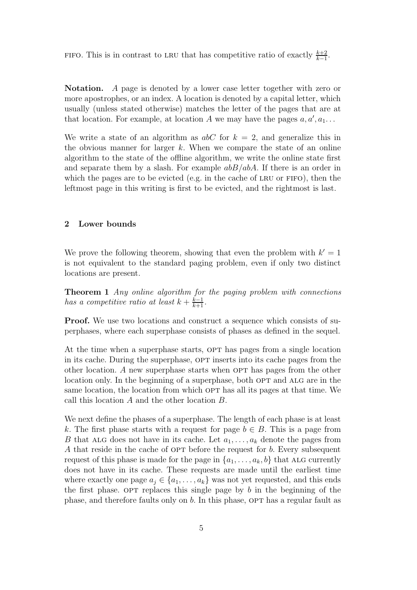FIFO. This is in contrast to LRU that has competitive ratio of exactly  $\frac{k+2}{k-1}$ .

Notation. A page is denoted by a lower case letter together with zero or more apostrophes, or an index. A location is denoted by a capital letter, which usually (unless stated otherwise) matches the letter of the pages that are at that location. For example, at location A we may have the pages  $a, a', a_1...$ 

We write a state of an algorithm as  $abc$  for  $k = 2$ , and generalize this in the obvious manner for larger  $k$ . When we compare the state of an online algorithm to the state of the offline algorithm, we write the online state first and separate them by a slash. For example  $abB/abA$ . If there is an order in which the pages are to be evicted (e.g. in the cache of LRU or  $FIFO$ ), then the leftmost page in this writing is first to be evicted, and the rightmost is last.

# 2 Lower bounds

We prove the following theorem, showing that even the problem with  $k' = 1$ is not equivalent to the standard paging problem, even if only two distinct locations are present.

Theorem 1 Any online algorithm for the paging problem with connections has a competitive ratio at least  $k + \frac{k-1}{k+1}$ .

**Proof.** We use two locations and construct a sequence which consists of superphases, where each superphase consists of phases as defined in the sequel.

At the time when a superphase starts, OPT has pages from a single location in its cache. During the superphase, OPT inserts into its cache pages from the other location. A new superphase starts when  $OPT$  has pages from the other location only. In the beginning of a superphase, both OPT and ALG are in the same location, the location from which OPT has all its pages at that time. We call this location A and the other location B.

We next define the phases of a superphase. The length of each phase is at least k. The first phase starts with a request for page  $b \in B$ . This is a page from B that ALG does not have in its cache. Let  $a_1, \ldots, a_k$  denote the pages from  $A$  that reside in the cache of OPT before the request for  $b$ . Every subsequent request of this phase is made for the page in  $\{a_1, \ldots, a_k, b\}$  that ALG currently does not have in its cache. These requests are made until the earliest time where exactly one page  $a_j \in \{a_1, \ldots, a_k\}$  was not yet requested, and this ends the first phase. OPT replaces this single page by  $b$  in the beginning of the phase, and therefore faults only on  $b$ . In this phase, OPT has a regular fault as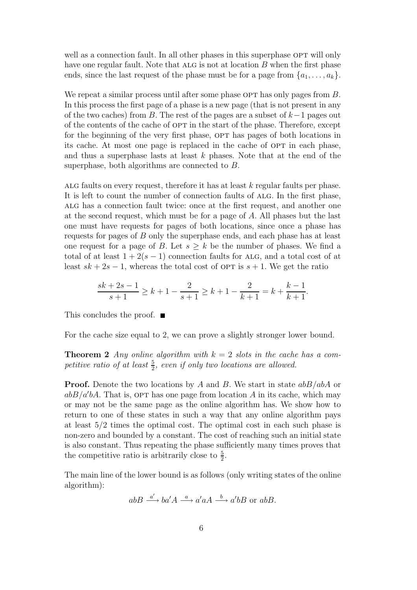well as a connection fault. In all other phases in this superphase OPT will only have one regular fault. Note that  $A\text{LG}$  is not at location  $B$  when the first phase ends, since the last request of the phase must be for a page from  $\{a_1, \ldots, a_k\}$ .

We repeat a similar process until after some phase  $\overline{OPT}$  has only pages from B. In this process the first page of a phase is a new page (that is not present in any of the two caches) from B. The rest of the pages are a subset of  $k-1$  pages out of the contents of the cache of opt in the start of the phase. Therefore, except for the beginning of the very first phase, OPT has pages of both locations in its cache. At most one page is replaced in the cache of OPT in each phase, and thus a superphase lasts at least k phases. Note that at the end of the superphase, both algorithms are connected to B.

ALG faults on every request, therefore it has at least  $k$  regular faults per phase. It is left to count the number of connection faults of alg. In the first phase, alg has a connection fault twice: once at the first request, and another one at the second request, which must be for a page of A. All phases but the last one must have requests for pages of both locations, since once a phase has requests for pages of B only the superphase ends, and each phase has at least one request for a page of B. Let  $s \geq k$  be the number of phases. We find a total of at least  $1 + 2(s - 1)$  connection faults for ALG, and a total cost of at least  $sk + 2s - 1$ , whereas the total cost of OPT is  $s + 1$ . We get the ratio

$$
\frac{sk+2s-1}{s+1} \ge k+1 - \frac{2}{s+1} \ge k+1 - \frac{2}{k+1} = k + \frac{k-1}{k+1}.
$$

This concludes the proof. ■

For the cache size equal to 2, we can prove a slightly stronger lower bound.

**Theorem 2** Any online algorithm with  $k = 2$  slots in the cache has a competitive ratio of at least  $\frac{5}{2}$ , even if only two locations are allowed.

**Proof.** Denote the two locations by A and B. We start in state  $abB/abA$  or  $abB/a'bA$ . That is, OPT has one page from location A in its cache, which may or may not be the same page as the online algorithm has. We show how to return to one of these states in such a way that any online algorithm pays at least 5/2 times the optimal cost. The optimal cost in each such phase is non-zero and bounded by a constant. The cost of reaching such an initial state is also constant. Thus repeating the phase sufficiently many times proves that the competitive ratio is arbitrarily close to  $\frac{5}{2}$ .

The main line of the lower bound is as follows (only writing states of the online algorithm):

 $abB \xrightarrow{a'} ba'A \xrightarrow{a} a'aA \xrightarrow{b} a'bB$  or  $abB$ .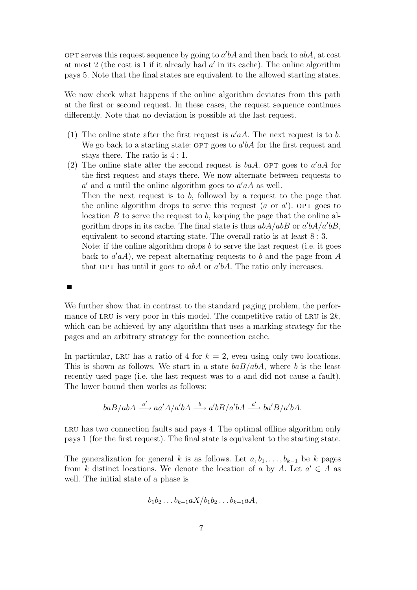OPT serves this request sequence by going to  $a'bA$  and then back to  $abA$ , at cost at most 2 (the cost is 1 if it already had  $a'$  in its cache). The online algorithm pays 5. Note that the final states are equivalent to the allowed starting states.

We now check what happens if the online algorithm deviates from this path at the first or second request. In these cases, the request sequence continues differently. Note that no deviation is possible at the last request.

- (1) The online state after the first request is  $a' a A$ . The next request is to b. We go back to a starting state: OPT goes to  $a'bA$  for the first request and stays there. The ratio is 4 : 1.
- (2) The online state after the second request is  $baA$ . OPT goes to  $a'aA$  for the first request and stays there. We now alternate between requests to  $a'$  and a until the online algorithm goes to  $a'aA$  as well. Then the next request is to  $b$ , followed by a request to the page that the online algorithm drops to serve this request  $(a \text{ or } a')$ . OPT goes to location  $B$  to serve the request to  $b$ , keeping the page that the online algorithm drops in its cache. The final state is thus  $abA/abB$  or  $a'bA/a'bB$ , equivalent to second starting state. The overall ratio is at least 8 : 3. Note: if the online algorithm drops  $b$  to serve the last request (i.e. it goes back to  $a' a A$ , we repeat alternating requests to b and the page from A that OPT has until it goes to  $abA$  or  $a'bA$ . The ratio only increases.

 $\blacksquare$ 

We further show that in contrast to the standard paging problem, the performance of LRU is very poor in this model. The competitive ratio of LRU is  $2k$ , which can be achieved by any algorithm that uses a marking strategy for the pages and an arbitrary strategy for the connection cache.

In particular, LRU has a ratio of 4 for  $k = 2$ , even using only two locations. This is shown as follows. We start in a state  $baB/abA$ , where b is the least recently used page (i.e. the last request was to  $a$  and did not cause a fault). The lower bound then works as follows:

$$
baB/abA \xrightarrow{a'} aa'A/a'bA \xrightarrow{b} a'bB/a'bA \xrightarrow{a'} ba'B/a'bA.
$$

LRU has two connection faults and pays 4. The optimal offline algorithm only pays 1 (for the first request). The final state is equivalent to the starting state.

The generalization for general k is as follows. Let  $a, b_1, \ldots, b_{k-1}$  be k pages from k distinct locations. We denote the location of a by A. Let  $a' \in A$  as well. The initial state of a phase is

$$
b_1b_2\ldots b_{k-1}aX/b_1b_2\ldots b_{k-1}aA,
$$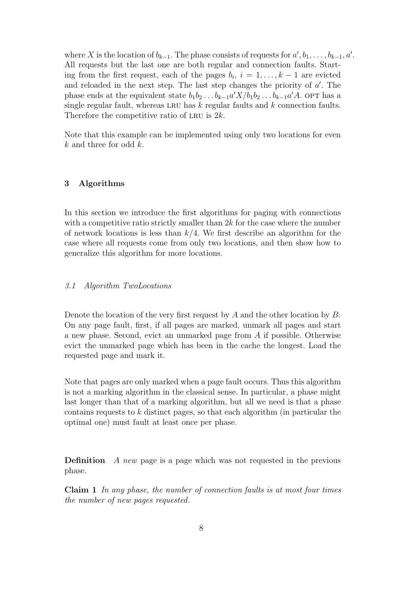where X is the location of  $b_{k-1}$ . The phase consists of requests for  $a', b_1, \ldots, b_{k-1}, a'$ . All requests but the last one are both regular and connection faults. Starting from the first request, each of the pages  $b_i$ ,  $i = 1, ..., k - 1$  are evicted and reloaded in the next step. The last step changes the priority of  $a'$ . The phase ends at the equivalent state  $b_1b_2 \ldots b_{k-1}a'X/b_1b_2 \ldots b_{k-1}a'A$ . OPT has a single regular fault, whereas LRU has  $k$  regular faults and  $k$  connection faults. Therefore the competitive ratio of LRU is  $2k$ .

Note that this example can be implemented using only two locations for even  $k$  and three for odd  $k$ .

## 3 Algorithms

In this section we introduce the first algorithms for paging with connections with a competitive ratio strictly smaller than 2k for the case where the number of network locations is less than  $k/4$ . We first describe an algorithm for the case where all requests come from only two locations, and then show how to generalize this algorithm for more locations.

# 3.1 Algorithm TwoLocations

Denote the location of the very first request by A and the other location by B. On any page fault, first, if all pages are marked, unmark all pages and start a new phase. Second, evict an unmarked page from A if possible. Otherwise evict the unmarked page which has been in the cache the longest. Load the requested page and mark it.

Note that pages are only marked when a page fault occurs. Thus this algorithm is not a marking algorithm in the classical sense. In particular, a phase might last longer than that of a marking algorithm, but all we need is that a phase contains requests to k distinct pages, so that each algorithm (in particular the optimal one) must fault at least once per phase.

**Definition** A new page is a page which was not requested in the previous phase.

Claim 1 In any phase, the number of connection faults is at most four times the number of new pages requested.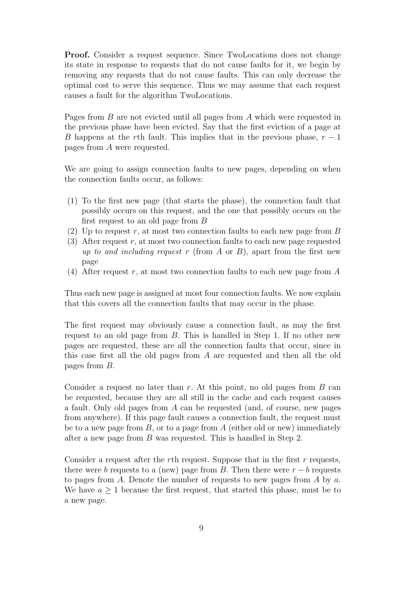Proof. Consider a request sequence. Since TwoLocations does not change its state in response to requests that do not cause faults for it, we begin by removing any requests that do not cause faults. This can only decrease the optimal cost to serve this sequence. Thus we may assume that each request causes a fault for the algorithm TwoLocations.

Pages from B are not evicted until all pages from A which were requested in the previous phase have been evicted. Say that the first eviction of a page at B happens at the rth fault. This implies that in the previous phase,  $r-1$ pages from A were requested.

We are going to assign connection faults to new pages, depending on when the connection faults occur, as follows:

- (1) To the first new page (that starts the phase), the connection fault that possibly occurs on this request, and the one that possibly occurs on the first request to an old page from B
- (2) Up to request r, at most two connection faults to each new page from  $B$
- (3) After request r, at most two connection faults to each new page requested up to and including request r (from A or B), apart from the first new page
- (4) After request r, at most two connection faults to each new page from  $A$

Thus each new page is assigned at most four connection faults. We now explain that this covers all the connection faults that may occur in the phase.

The first request may obviously cause a connection fault, as may the first request to an old page from B. This is handled in Step 1. If no other new pages are requested, these are all the connection faults that occur, since in this case first all the old pages from  $A$  are requested and then all the old pages from B.

Consider a request no later than r. At this point, no old pages from  $B$  can be requested, because they are all still in the cache and each request causes a fault. Only old pages from A can be requested (and, of course, new pages from anywhere). If this page fault causes a connection fault, the request must be to a new page from  $B$ , or to a page from  $A$  (either old or new) immediately after a new page from B was requested. This is handled in Step 2.

Consider a request after the rth request. Suppose that in the first  $r$  requests, there were b requests to a (new) page from B. Then there were  $r - b$  requests to pages from A. Denote the number of requests to new pages from A by  $a$ . We have  $a \geq 1$  because the first request, that started this phase, must be to a new page.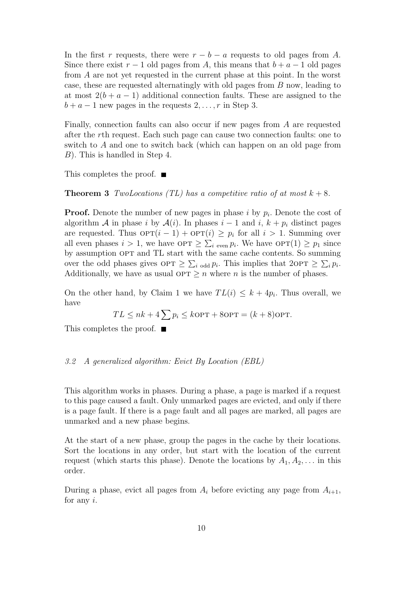In the first r requests, there were  $r - b - a$  requests to old pages from A. Since there exist  $r - 1$  old pages from A, this means that  $b + a - 1$  old pages from A are not yet requested in the current phase at this point. In the worst case, these are requested alternatingly with old pages from B now, leading to at most  $2(b + a - 1)$  additional connection faults. These are assigned to the  $b + a - 1$  new pages in the requests  $2, \ldots, r$  in Step 3.

Finally, connection faults can also occur if new pages from A are requested after the rth request. Each such page can cause two connection faults: one to switch to A and one to switch back (which can happen on an old page from B). This is handled in Step 4.

This completes the proof.  $\blacksquare$ 

**Theorem 3** TwoLocations (TL) has a competitive ratio of at most  $k + 8$ .

**Proof.** Denote the number of new pages in phase i by  $p_i$ . Denote the cost of algorithm A in phase i by  $A(i)$ . In phases  $i-1$  and i,  $k + p_i$  distinct pages are requested. Thus  $\text{OPT}(i-1) + \text{OPT}(i) \geq p_i$  for all  $i > 1$ . Summing over all even phases  $i > 1$ , we have  $\text{OPT} \geq \sum_{i} \text{ even } p_i$ . We have  $\text{OPT}(1) \geq p_1$  since by assumption OPT and TL start with the same cache contents. So summing over the odd phases gives  $\text{OPT} \geq \sum_{i \text{ odd}} p_i$ . This implies that  $2\text{OPT} \geq \sum_i p_i$ . Additionally, we have as usual  $\text{OPT} \geq n$  where n is the number of phases.

On the other hand, by Claim 1 we have  $TL(i) \leq k + 4p_i$ . Thus overall, we have

 $TL \leq nk + 4\sum p_i \leq kOPT + 8OPT = (k + 8)OPT.$ 

This completes the proof. ■

#### 3.2 A generalized algorithm: Evict By Location (EBL)

This algorithm works in phases. During a phase, a page is marked if a request to this page caused a fault. Only unmarked pages are evicted, and only if there is a page fault. If there is a page fault and all pages are marked, all pages are unmarked and a new phase begins.

At the start of a new phase, group the pages in the cache by their locations. Sort the locations in any order, but start with the location of the current request (which starts this phase). Denote the locations by  $A_1, A_2, \ldots$  in this order.

During a phase, evict all pages from  $A_i$  before evicting any page from  $A_{i+1}$ , for any  $i$ .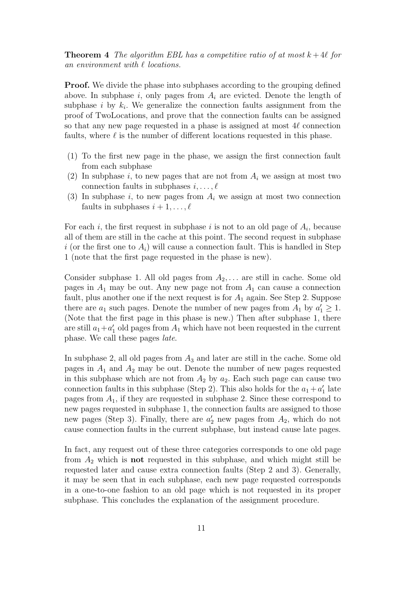**Theorem 4** The algorithm EBL has a competitive ratio of at most  $k + 4\ell$  for an environment with  $\ell$  locations.

**Proof.** We divide the phase into subphases according to the grouping defined above. In subphase i, only pages from  $A_i$  are evicted. Denote the length of subphase i by  $k_i$ . We generalize the connection faults assignment from the proof of TwoLocations, and prove that the connection faults can be assigned so that any new page requested in a phase is assigned at most  $4\ell$  connection faults, where  $\ell$  is the number of different locations requested in this phase.

- (1) To the first new page in the phase, we assign the first connection fault from each subphase
- (2) In subphase i, to new pages that are not from  $A_i$  we assign at most two connection faults in subphases  $i, \ldots, \ell$
- (3) In subphase i, to new pages from  $A_i$  we assign at most two connection faults in subphases  $i + 1, \ldots, \ell$

For each *i*, the first request in subphase *i* is not to an old page of  $A_i$ , because all of them are still in the cache at this point. The second request in subphase i (or the first one to  $A_i$ ) will cause a connection fault. This is handled in Step 1 (note that the first page requested in the phase is new).

Consider subphase 1. All old pages from  $A_2, \ldots$  are still in cache. Some old pages in  $A_1$  may be out. Any new page not from  $A_1$  can cause a connection fault, plus another one if the next request is for  $A_1$  again. See Step 2. Suppose there are  $a_1$  such pages. Denote the number of new pages from  $A_1$  by  $a'_1 \geq 1$ . (Note that the first page in this phase is new.) Then after subphase 1, there are still  $a_1+a'_1$  $_1'$  old pages from  $A_1$  which have not been requested in the current phase. We call these pages late.

In subphase 2, all old pages from  $A_3$  and later are still in the cache. Some old pages in  $A_1$  and  $A_2$  may be out. Denote the number of new pages requested in this subphase which are not from  $A_2$  by  $a_2$ . Each such page can cause two connection faults in this subphase (Step 2). This also holds for the  $a_1 + a_1'$  $_1'$  late pages from  $A_1$ , if they are requested in subphase 2. Since these correspond to new pages requested in subphase 1, the connection faults are assigned to those new pages (Step 3). Finally, there are  $a'_2$  new pages from  $A_2$ , which do not cause connection faults in the current subphase, but instead cause late pages.

In fact, any request out of these three categories corresponds to one old page from  $A_2$  which is **not** requested in this subphase, and which might still be requested later and cause extra connection faults (Step 2 and 3). Generally, it may be seen that in each subphase, each new page requested corresponds in a one-to-one fashion to an old page which is not requested in its proper subphase. This concludes the explanation of the assignment procedure.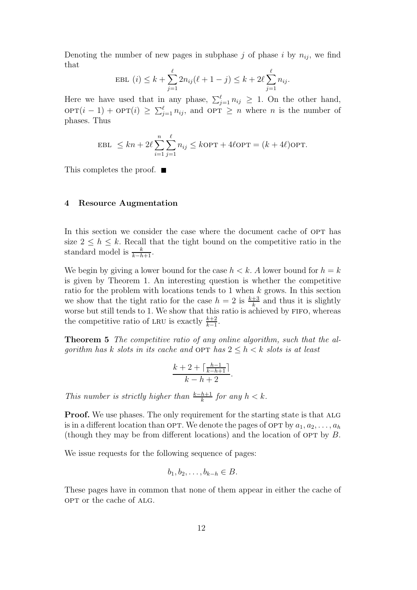Denoting the number of new pages in subphase j of phase i by  $n_{ij}$ , we find that

EBL 
$$
(i) \leq k + \sum_{j=1}^{\ell} 2n_{ij}(\ell + 1 - j) \leq k + 2\ell \sum_{j=1}^{\ell} n_{ij}
$$
.

Here we have used that in any phase,  $\sum_{j=1}^{\ell} n_{ij} \geq 1$ . On the other hand,  $\text{OPT}(i-1) + \text{OPT}(i) \geq \sum_{j=1}^{\ell} n_{ij}$ , and  $\text{OPT} \geq n$  where n is the number of phases. Thus

$$
\text{EBL} \le kn + 2\ell \sum_{i=1}^{n} \sum_{j=1}^{\ell} n_{ij} \le k\text{OPT} + 4\ell \text{OPT} = (k + 4\ell)\text{OPT}.
$$

This completes the proof.  $\blacksquare$ 

## 4 Resource Augmentation

In this section we consider the case where the document cache of OPT has size  $2 \leq h \leq k$ . Recall that the tight bound on the competitive ratio in the standard model is  $\frac{k}{k-h+1}$ .

We begin by giving a lower bound for the case  $h < k$ . A lower bound for  $h = k$ is given by Theorem 1. An interesting question is whether the competitive ratio for the problem with locations tends to 1 when k grows. In this section we show that the tight ratio for the case  $h = 2$  is  $\frac{k+3}{k}$  and thus it is slightly worse but still tends to 1. We show that this ratio is achieved by FIFO, whereas the competitive ratio of LRU is exactly  $\frac{k+2}{k-1}$ .

Theorem 5 The competitive ratio of any online algorithm, such that the algorithm has k slots in its cache and  $\Delta$ PT has  $2 \leq h \leq k$  slots is at least

$$
\frac{k+2+\lceil\frac{h-1}{k-h+1}\rceil}{k-h+2}.
$$

This number is strictly higher than  $\frac{k-h+1}{k}$  for any  $h < k$ .

**Proof.** We use phases. The only requirement for the starting state is that ALG is in a different location than OPT. We denote the pages of OPT by  $a_1, a_2, \ldots, a_h$ (though they may be from different locations) and the location of  $\overline{OPT}$  by  $\overline{B}$ .

We issue requests for the following sequence of pages:

$$
b_1, b_2, \ldots, b_{k-h} \in B.
$$

These pages have in common that none of them appear in either the cache of OPT or the cache of ALG.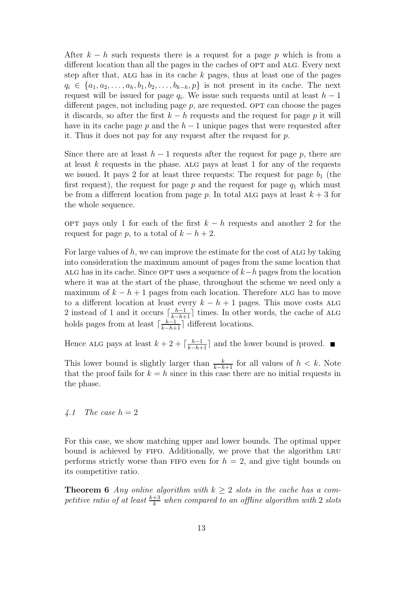After  $k - h$  such requests there is a request for a page p which is from a different location than all the pages in the caches of OPT and ALG. Every next step after that, ALG has in its cache  $k$  pages, thus at least one of the pages  $q_i \in \{a_1, a_2, \ldots, a_h, b_1, b_2, \ldots, b_{k-h}, p\}$  is not present in its cache. The next request will be issued for page  $q_i$ . We issue such requests until at least  $h-1$ different pages, not including page  $p$ , are requested. OPT can choose the pages it discards, so after the first  $k - h$  requests and the request for page p it will have in its cache page p and the  $h-1$  unique pages that were requested after it. Thus it does not pay for any request after the request for p.

Since there are at least  $h-1$  requests after the request for page p, there are at least  $k$  requests in the phase. ALG pays at least 1 for any of the requests we issued. It pays 2 for at least three requests: The request for page  $b_1$  (the first request), the request for page  $p$  and the request for page  $q_1$  which must be from a different location from page p. In total ALG pays at least  $k + 3$  for the whole sequence.

OPT pays only 1 for each of the first  $k - h$  requests and another 2 for the request for page p, to a total of  $k - h + 2$ .

For large values of  $h$ , we can improve the estimate for the cost of ALG by taking into consideration the maximum amount of pages from the same location that ALG has in its cache. Since OPT uses a sequence of  $k-h$  pages from the location where it was at the start of the phase, throughout the scheme we need only a maximum of  $k - h + 1$  pages from each location. Therefore ALG has to move to a different location at least every  $k - h + 1$  pages. This move costs ALG 2 instead of 1 and it occurs  $\lceil \frac{h-1}{k-h+1} \rceil$  times. In other words, the cache of ALG holds pages from at least  $\lceil \frac{h-1}{k-h+1} \rceil$  different locations.

Hence ALG pays at least  $k + 2 + \lceil \frac{h-1}{k-h+1} \rceil$  and the lower bound is proved.

This lower bound is slightly larger than  $\frac{k}{k-h+1}$  for all values of  $h < k$ . Note that the proof fails for  $k = h$  since in this case there are no initial requests in the phase.

# 4.1 The case  $h = 2$

For this case, we show matching upper and lower bounds. The optimal upper bound is achieved by FIFO. Additionally, we prove that the algorithm LRU performs strictly worse than FIFO even for  $h = 2$ , and give tight bounds on its competitive ratio.

**Theorem 6** Any online algorithm with  $k \geq 2$  slots in the cache has a competitive ratio of at least  $\frac{k+3}{k}$  when compared to an offline algorithm with 2 slots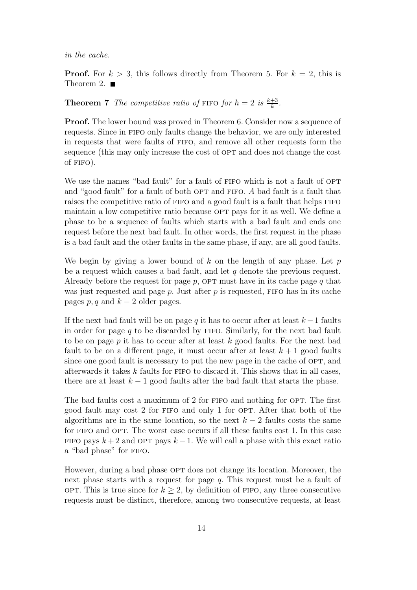in the cache.

**Proof.** For  $k > 3$ , this follows directly from Theorem 5. For  $k = 2$ , this is Theorem 2.  $\blacksquare$ 

# **Theorem 7** The competitive ratio of FIFO for  $h = 2$  is  $\frac{k+3}{k}$ .

Proof. The lower bound was proved in Theorem 6. Consider now a sequence of requests. Since in fifo only faults change the behavior, we are only interested in requests that were faults of fifo, and remove all other requests form the sequence (this may only increase the cost of OPT and does not change the cost of fifo).

We use the names "bad fault" for a fault of FIFO which is not a fault of OPT and "good fault" for a fault of both OPT and FIFO. A bad fault is a fault that raises the competitive ratio of FIFO and a good fault is a fault that helps FIFO maintain a low competitive ratio because OPT pays for it as well. We define a phase to be a sequence of faults which starts with a bad fault and ends one request before the next bad fault. In other words, the first request in the phase is a bad fault and the other faults in the same phase, if any, are all good faults.

We begin by giving a lower bound of k on the length of any phase. Let  $p$ be a request which causes a bad fault, and let  $q$  denote the previous request. Already before the request for page  $p$ , OPT must have in its cache page  $q$  that was just requested and page  $p$ . Just after  $p$  is requested, FIFO has in its cache pages  $p, q$  and  $k - 2$  older pages.

If the next bad fault will be on page q it has to occur after at least  $k-1$  faults in order for page  $q$  to be discarded by FIFO. Similarly, for the next bad fault to be on page  $p$  it has to occur after at least  $k$  good faults. For the next bad fault to be on a different page, it must occur after at least  $k + 1$  good faults since one good fault is necessary to put the new page in the cache of OPT, and afterwards it takes  $k$  faults for  $FIFO$  to discard it. This shows that in all cases, there are at least  $k - 1$  good faults after the bad fault that starts the phase.

The bad faults cost a maximum of 2 for FIFO and nothing for OPT. The first good fault may cost 2 for FIFO and only 1 for OPT. After that both of the algorithms are in the same location, so the next  $k-2$  faults costs the same for FIFO and OPT. The worst case occurs if all these faults cost 1. In this case FIFO pays  $k + 2$  and OPT pays  $k - 1$ . We will call a phase with this exact ratio a "bad phase" for fifo.

However, during a bad phase OPT does not change its location. Moreover, the next phase starts with a request for page q. This request must be a fault of OPT. This is true since for  $k \geq 2$ , by definition of FIFO, any three consecutive requests must be distinct, therefore, among two consecutive requests, at least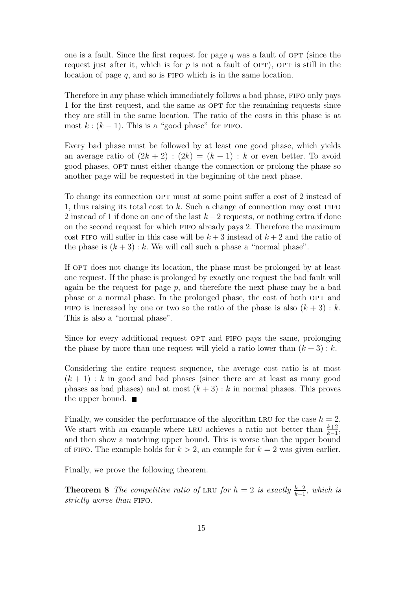one is a fault. Since the first request for page q was a fault of  $\overline{OPT}$  (since the request just after it, which is for  $p$  is not a fault of OPT), OPT is still in the location of page  $q$ , and so is FIFO which is in the same location.

Therefore in any phase which immediately follows a bad phase, fifo only pays 1 for the first request, and the same as OPT for the remaining requests since they are still in the same location. The ratio of the costs in this phase is at most  $k : (k-1)$ . This is a "good phase" for FIFO.

Every bad phase must be followed by at least one good phase, which yields an average ratio of  $(2k+2)$ :  $(2k) = (k+1)$ : k or even better. To avoid good phases, opt must either change the connection or prolong the phase so another page will be requested in the beginning of the next phase.

To change its connection OPT must at some point suffer a cost of 2 instead of 1, thus raising its total cost to  $k$ . Such a change of connection may cost FIFO 2 instead of 1 if done on one of the last  $k-2$  requests, or nothing extra if done on the second request for which fifo already pays 2. Therefore the maximum cost FIFO will suffer in this case will be  $k + 3$  instead of  $k + 2$  and the ratio of the phase is  $(k+3)$ : k. We will call such a phase a "normal phase".

If OPT does not change its location, the phase must be prolonged by at least one request. If the phase is prolonged by exactly one request the bad fault will again be the request for page  $p$ , and therefore the next phase may be a bad phase or a normal phase. In the prolonged phase, the cost of both OPT and FIFO is increased by one or two so the ratio of the phase is also  $(k+3)$ : k. This is also a "normal phase".

Since for every additional request OPT and FIFO pays the same, prolonging the phase by more than one request will yield a ratio lower than  $(k+3)$ : k.

Considering the entire request sequence, the average cost ratio is at most  $(k + 1)$ : k in good and bad phases (since there are at least as many good phases as bad phases) and at most  $(k+3) : k$  in normal phases. This proves the upper bound.  $\blacksquare$ 

Finally, we consider the performance of the algorithm LRU for the case  $h = 2$ . We start with an example where LRU achieves a ratio not better than  $\frac{k+2}{k-1}$ , and then show a matching upper bound. This is worse than the upper bound of FIFO. The example holds for  $k > 2$ , an example for  $k = 2$  was given earlier.

Finally, we prove the following theorem.

**Theorem 8** The competitive ratio of LRU for  $h = 2$  is exactly  $\frac{k+2}{k-1}$ , which is strictly worse than FIFO.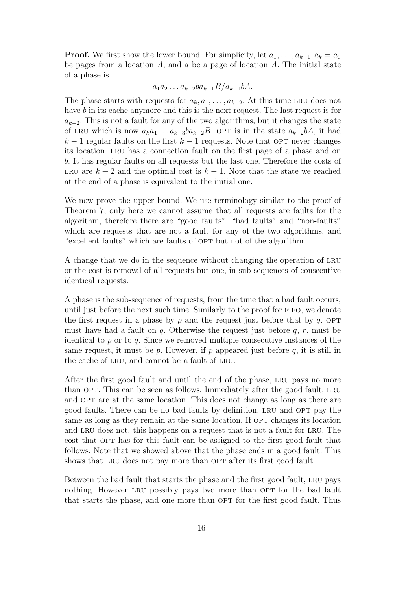**Proof.** We first show the lower bound. For simplicity, let  $a_1, \ldots, a_{k-1}, a_k = a_0$ be pages from a location  $A$ , and  $a$  be a page of location  $A$ . The initial state of a phase is

$$
a_1a_2\ldots a_{k-2}ba_{k-1}B/a_{k-1}bA.
$$

The phase starts with requests for  $a_k, a_1, \ldots, a_{k-2}$ . At this time LRU does not have b in its cache anymore and this is the next request. The last request is for  $a_{k-2}$ . This is not a fault for any of the two algorithms, but it changes the state of LRU which is now  $a_k a_1 \dots a_{k-3} b a_{k-2} B$ . OPT is in the state  $a_{k-2} b A$ , it had  $k-1$  regular faults on the first  $k-1$  requests. Note that OPT never changes its location. lru has a connection fault on the first page of a phase and on b. It has regular faults on all requests but the last one. Therefore the costs of LRU are  $k + 2$  and the optimal cost is  $k - 1$ . Note that the state we reached at the end of a phase is equivalent to the initial one.

We now prove the upper bound. We use terminology similar to the proof of Theorem 7, only here we cannot assume that all requests are faults for the algorithm, therefore there are "good faults", "bad faults" and "non-faults" which are requests that are not a fault for any of the two algorithms, and "excellent faults" which are faults of OPT but not of the algorithm.

A change that we do in the sequence without changing the operation of LRU or the cost is removal of all requests but one, in sub-sequences of consecutive identical requests.

A phase is the sub-sequence of requests, from the time that a bad fault occurs, until just before the next such time. Similarly to the proof for fifo, we denote the first request in a phase by p and the request just before that by q. OPT must have had a fault on q. Otherwise the request just before  $q, r$ , must be identical to  $p$  or to  $q$ . Since we removed multiple consecutive instances of the same request, it must be  $p$ . However, if  $p$  appeared just before  $q$ , it is still in the cache of LRU, and cannot be a fault of LRU.

After the first good fault and until the end of the phase, LRU pays no more than OPT. This can be seen as follows. Immediately after the good fault, LRU and OPT are at the same location. This does not change as long as there are good faults. There can be no bad faults by definition. LRU and OPT pay the same as long as they remain at the same location. If OPT changes its location and LRU does not, this happens on a request that is not a fault for LRU. The cost that OPT has for this fault can be assigned to the first good fault that follows. Note that we showed above that the phase ends in a good fault. This shows that LRU does not pay more than OPT after its first good fault.

Between the bad fault that starts the phase and the first good fault, lru pays nothing. However LRU possibly pays two more than OPT for the bad fault that starts the phase, and one more than OPT for the first good fault. Thus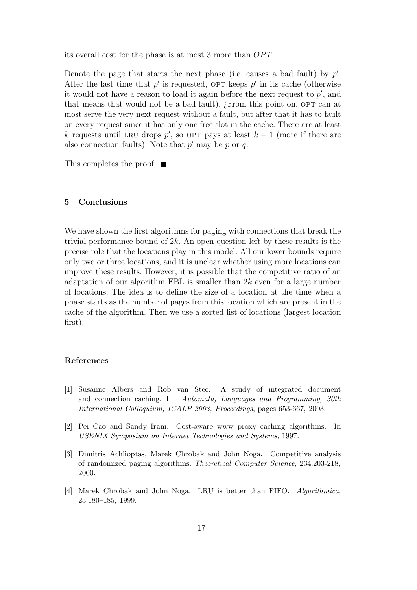its overall cost for the phase is at most 3 more than OPT.

Denote the page that starts the next phase (i.e. causes a bad fault) by  $p'$ . After the last time that  $p'$  is requested, OPT keeps  $p'$  in its cache (otherwise it would not have a reason to load it again before the next request to  $p'$ , and that means that would not be a bad fault).  $i$ From this point on, OPT can at most serve the very next request without a fault, but after that it has to fault on every request since it has only one free slot in the cache. There are at least k requests until LRU drops  $p'$ , so OPT pays at least  $k-1$  (more if there are also connection faults). Note that  $p'$  may be p or q.

This completes the proof. ■

## 5 Conclusions

We have shown the first algorithms for paging with connections that break the trivial performance bound of  $2k$ . An open question left by these results is the precise role that the locations play in this model. All our lower bounds require only two or three locations, and it is unclear whether using more locations can improve these results. However, it is possible that the competitive ratio of an adaptation of our algorithm EBL is smaller than  $2k$  even for a large number of locations. The idea is to define the size of a location at the time when a phase starts as the number of pages from this location which are present in the cache of the algorithm. Then we use a sorted list of locations (largest location first).

## References

- [1] Susanne Albers and Rob van Stee. A study of integrated document and connection caching. In Automata, Languages and Programming, 30th International Colloquium, ICALP 2003, Proceedings, pages 653-667, 2003.
- [2] Pei Cao and Sandy Irani. Cost-aware www proxy caching algorithms. In USENIX Symposium on Internet Technologies and Systems, 1997.
- [3] Dimitris Achlioptas, Marek Chrobak and John Noga. Competitive analysis of randomized paging algorithms. Theoretical Computer Science, 234:203-218, 2000.
- [4] Marek Chrobak and John Noga. LRU is better than FIFO. Algorithmica, 23:180–185, 1999.